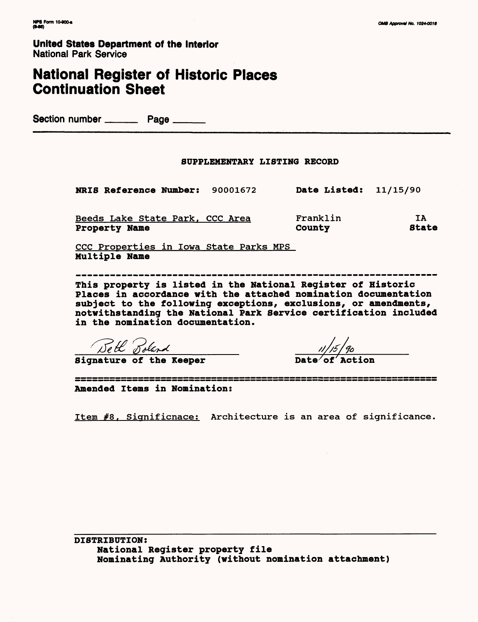## **National Register of Historic Places Continuation Sheet**

Section number \_\_\_\_\_\_\_\_\_\_ Page \_\_\_\_\_\_\_

#### SUPPLEMENTARY LISTING RECORD

NRIS Reference Number: 90001672 Date Listed: 11/15/90

| Beeds Lake State Park, CCC Area | Franklin |       |
|---------------------------------|----------|-------|
| <b>Property Name</b>            | County   | State |

CCC Properties in Iowa State Parks MPS Multiple Name

This property is listed in the National Register of Historic Places in accordance with the attached nomination documentation subject to the following exceptions, exclusions, or amendments, notwithstanding the National Park Service certification included in the nomination documentation.

Beth Boland<br>**Signature of the Keeper** 

////f/fr

**Amended Items in Nomination:**

Item #8, Significnace: Architecture is an area of significance.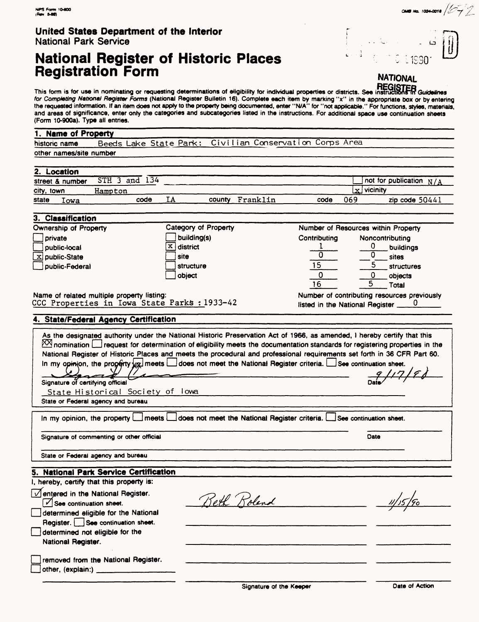## **National Register of Historic Places Registration Form** NATIONAL

This form is for use in nominating or requesting determinations of eligibility for individual properties or districts. See instructions in Guidelines for Completing National Register Forms (National Register Bulletin 16). Complete each item by marking "x" in the appropriate box or by entering the requested information. If an item does not apply to the property being documented, enter "N/A" for "not applicable." For functions, styles, materials, and areas of significance, enter only the categories and subcategories listed in the instructions. For additional space use continuation sheets (Form 10-9008). Type all entries.

#### 1. Name of Property historic name Beeds Lake State Park: Civilian Conservation Corps Area other names/site number 2. Location  $\Box$  not for publication  $N/A$ street & number STH 3 and 134  $x$  vicinity city, town Hampton state Iowa code IA county Franklin code 069 zip code 50441 3. Classification Number of Resources within Property Ownership of Property Ca tegory of Property building(s) Contributing Noncontributing private  $\sqrt{\frac{\mathrm{X}}{\mathrm{A}}}$  district public-local  $\frac{1}{0}$   $\frac{0}{0}$  buildings  $\overline{0}$ site  $\overline{x}$  public-State  $\frac{0}{5}$  sites |<br>|-15 structure public-Federal **structures** 0 objects object  $\Omega$ 16 5 Total Number of contributing resources previously Name of related multiple property listing: CCC Properties in Iowa State Parks : 1933-42 listed in the National Register **4. State/Federal Agency Certification** As the designated authority under the National Historic Preservation Act of 1966, as amended, I hereby certify that this  $\boxtimes$  nomination  $\Box$  request for determination of eligibility meets the documentation standards for registering properties in the National Register of Historic Places and meets the procedural and professional requirements set forth in 36 CFR Part 60. In my opinion, the property  $\&\alpha$  meets  $\Box$  does not meet the National Register criteria.  $\Box$  See continuation sheet. Signature of certifying official State Historical Society of lowa State or Federal agency and bureau In my opinion, the property **EH** meets EH does not meet the National Register criteria. EHSee continuation sheet. Signature of commenting or other official Date State or Federal agency and bureau **5. National Park Service Certification** I, hereby, certify that this property is:  $\sqrt{\phantom{a}}$ entered in the National Register. Beth Roland  $\boxed{\check{\mathcal{C}}}$  See continuation sheet.  $\frac{\sqrt{115}}{2}$ determined eligible for the National Register. **See** continuation sheet. determined not eligible for the National Register. removed from the National Register.

other, (explain:)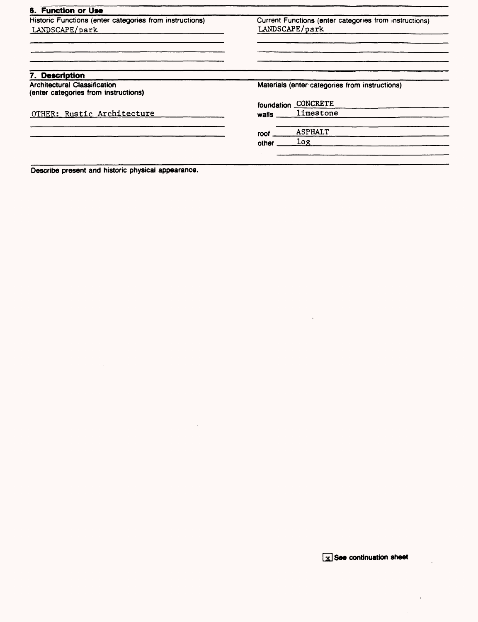| 6. Function or Use                                                          |                |                                                        |
|-----------------------------------------------------------------------------|----------------|--------------------------------------------------------|
| Historic Functions (enter categories from instructions)<br>LANDSCAPE/park   | LANDSCAPE/park | Current Functions (enter categories from instructions) |
|                                                                             |                |                                                        |
|                                                                             |                |                                                        |
| 7. Description                                                              |                |                                                        |
| <b>Architectural Classification</b><br>(enter categories from instructions) |                | Materials (enter categories from instructions)         |
|                                                                             | foundation     | <b>CONCRETE</b>                                        |
| OTHER: Rustic Architecture                                                  | walls          | limestone                                              |
|                                                                             | roof           | <b>ASPHALT</b>                                         |
|                                                                             | other          | log.                                                   |

 $\sim$ 

Describe present and historic physical appearance.

**x** See continuation sheet

 $\ddot{\phantom{0}}$ 

 $\ddot{\phantom{0}}$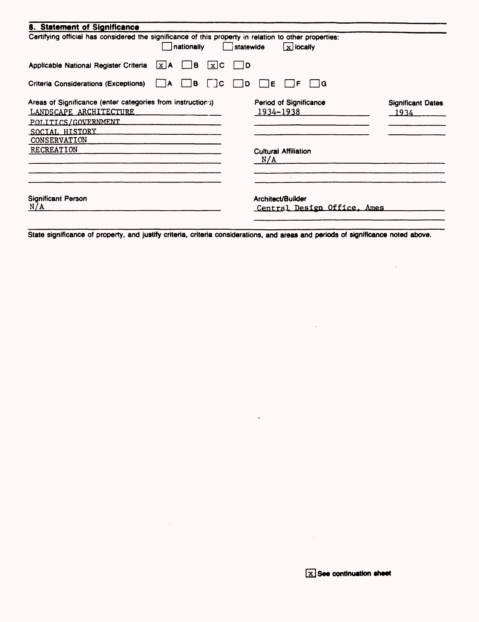| 8. Statement of Significance<br>Certifying official has considered the significance of this property in relation to other properties:<br>nationally | $\mathbf{x}$ locally<br>statewide                |                                     |
|-----------------------------------------------------------------------------------------------------------------------------------------------------|--------------------------------------------------|-------------------------------------|
| $\Box$ B<br>Applicable National Register Criteria<br>$x$ C<br>$\lfloor x \rfloor$ A                                                                 | $\vert$ $\vert$ D                                |                                     |
| $\vert$ $\vert$ C<br><b>Criteria Considerations (Exceptions)</b><br>i B<br>$\overline{A}$                                                           | 1G<br>D<br>E<br>F                                |                                     |
| Areas of Significance (enter categories from instructions)<br>LANDSCAPE ARCHITECTURE<br>POLITICS/GOVERNMENT<br>SOCIAL HISTORY                       | Period of Significance<br>1934-1938              | <b>Significant Dates</b><br>$-1934$ |
| CONSERVATION<br><b>RECREATION</b>                                                                                                                   | <b>Cultural Affiliation</b><br>N/A               |                                     |
| <b>Significant Person</b><br>N/A                                                                                                                    | Architect/Builder<br>Central Design Office, Ames |                                     |

State significance of property, and justify criteria, criteria considerations, and areas and periods of significance noted above.

 $\sim$ 

 $\ddot{\phantom{a}}$ 

 $\mathcal{L}$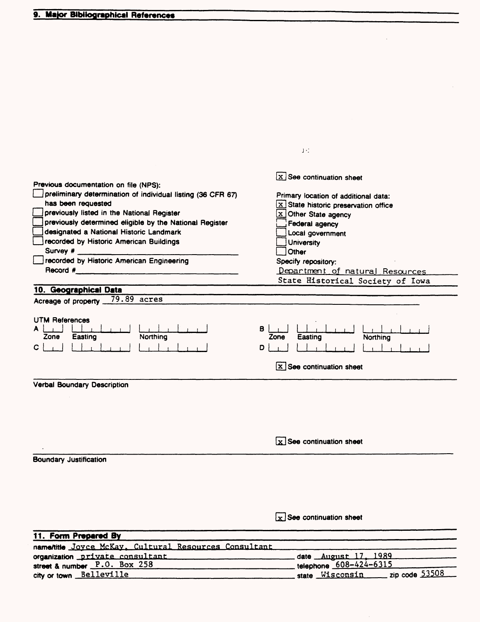|                                                                                           | JΞ                                                                           |
|-------------------------------------------------------------------------------------------|------------------------------------------------------------------------------|
|                                                                                           |                                                                              |
|                                                                                           | $x$ See continuation sheet                                                   |
| Previous documentation on file (NPS):                                                     |                                                                              |
| preliminary determination of individual listing (36 CFR 67)                               | Primary location of additional data:                                         |
| has been requested                                                                        | $\boxed{\mathbf{x}}$ State historic preservation office                      |
| previously listed in the National Register                                                | x Other State agency                                                         |
| previously determined eligible by the National Register                                   | Federal agency                                                               |
| designated a National Historic Landmark                                                   | Local government                                                             |
| recorded by Historic American Buildings                                                   | <b>University</b>                                                            |
| Survey #                                                                                  | Other                                                                        |
| recorded by Historic American Engineering                                                 | Specify repository:                                                          |
| Record #                                                                                  | Department of natural Resources                                              |
|                                                                                           | State Historical Society of Iowa                                             |
| 10. Geographical Data                                                                     |                                                                              |
| 79.89 acres<br>Acreage of property _                                                      |                                                                              |
|                                                                                           |                                                                              |
| <b>UTM References</b><br>Northing<br>Easting<br>Zone<br>C                                 | в<br>Zone<br>Easting<br>Northing<br>D<br>$\mathbf{x}$ See continuation sheet |
| <b>Verbal Boundary Description</b>                                                        |                                                                              |
|                                                                                           |                                                                              |
|                                                                                           | $x$ See continuation sheet                                                   |
| <b>Boundary Justification</b>                                                             |                                                                              |
|                                                                                           |                                                                              |
|                                                                                           |                                                                              |
|                                                                                           |                                                                              |
|                                                                                           |                                                                              |
|                                                                                           |                                                                              |
|                                                                                           | $x$ See continuation sheet                                                   |
|                                                                                           |                                                                              |
| 11. Form Prepared By                                                                      |                                                                              |
| $T_{\alpha}$ , $M_{\alpha}V_{\alpha}$ , $T_{\alpha}$<br>$C1$ turnal Bogovernor Concultant |                                                                              |

| namentile Joyce McKay, Cultural Resources Consultant |                                                 |
|------------------------------------------------------|-------------------------------------------------|
| organization private consultant                      | date <u>August 17, 1989</u>                     |
| street & number P.O. Box 258                         | telephone 608-424-6315                          |
| city or town Belleville                              | $\frac{1}{2}$ zip code 53508<br>state Wisconsin |
|                                                      |                                                 |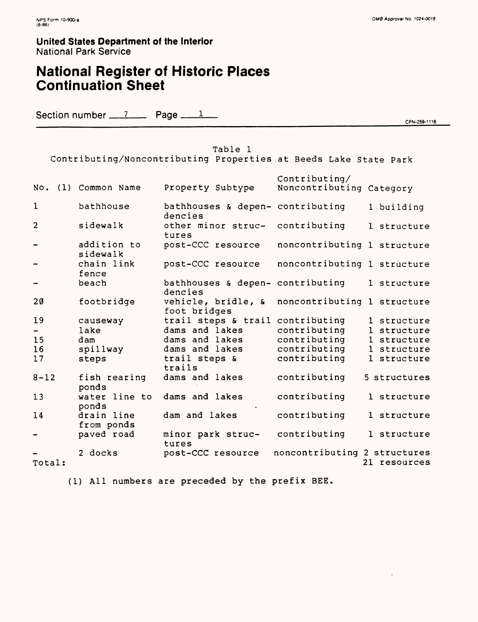## **National Register of Historic Places Continuation Sheet**

Section number  $\frac{7}{2}$  Page  $\frac{1}{2}$ 1

CFN-259-1116

#### Table 1 Contributing/Noncontributing Properties at Seeds Lake State Park Contributing/ No. (1) Common Name Property Subtype Noncontributing Category 1 bathhouse bathhouses & depen- contributing 1 building dencies 2 sidewalk other minor struc- contributing 1 structure tures addition to post-CCC resource noncontributing 1 structure sidewalk chain link post-CCC resource noncontributing 1 structure fence bathhouses & depen- contributing 1 structure beach dencies 20 footbridge vehicle, bridle, & noncontributing 1 structure foot bridges 19 trail steps & trail contributing 1 structure causeway dams and lakes contributing  $\overline{a}$ lake 1 structure dams and lakes 15 dam contributing 1 structure dams and lakes contributing 16 spillway 1 structure 17 steps trail steps & contributing 1 structure trails 8-12 dams and lakes contributing fish rearing 5 structures ponds water line to 13 dams and lakes contributing 1 structure ponds drain line dam and lakes contributing 1 structure 14 from ponds contributing 1 structure paved road minor park struc-— . tures 2 docks post-CCC resource noncontributing 2 structures 21 resources Total:

(1) All numbers are preceded by the prefix BEE.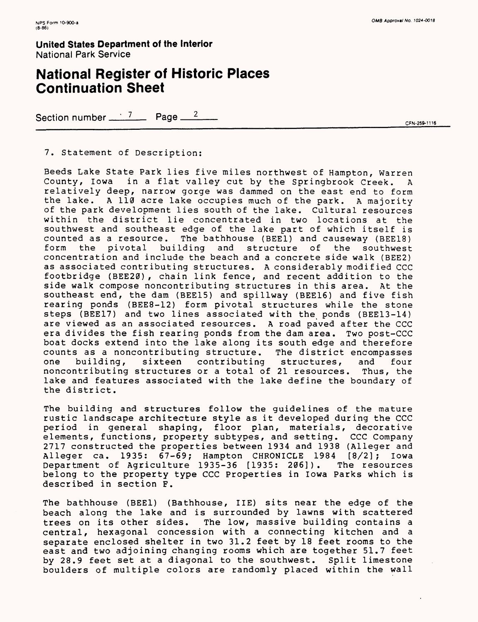## **National Register of Historic Places Continuation Sheet**

Section number  $\frac{7}{2}$  Page  $\frac{2}{2}$ 

#### 7. Statement of Description:

Seeds Lake State Park lies five miles northwest of Hampton, Warren County, Iowa in a flat valley cut by the Springbrook Creek. A relatively deep, narrow gorge was dammed on the east end to form the lake. A 110 acre lake occupies much of the park. A majority of the park development lies south of the lake. Cultural resources within the district lie concentrated in two locations at the southwest and southeast edge of the lake part of which itself is counted as a resource. The bathhouse (BEE1) and causeway (BEE18) pivotal building and structure concentration and include the beach and a concrete side walk (BEE2) as associated contributing structures. A considerably modified CCC footbridge (BEE20), chain link fence, and recent addition to the side walk compose noncontributing structures in this area. At the southeast end, the dam (BEE15) and spillway (BEE16) and five fish rearing ponds (BEE8-12) form pivotal structures while the stone steps (BEE17) and two lines associated with the ponds (BEE13-14) are viewed as an associated resources. A road paved after the CCC era divides the fish rearing ponds from the dam area. Two post-CCC boat docks extend into the lake along its south edge and therefore counts as a noncontributing structure. The district encompasses<br>one building, sixteen contributing structures, and four one building, sixteen contributing structures, and four noncontributing structures or a total of 21 resources. Thus, the lake and features associated with the lake define the boundary of the district.

The building and structures follow the guidelines of the mature rustic landscape architecture style as it developed during the CCC period in general shaping, floor plan, materials, decorative elements, functions, property subtypes, and setting. CCC Company 2717 constructed the properties between 1934 and 1938 (Alleger and Alleger ca. 1935: 67-69; Hampton CHRONICLE 1984 [8/2]; Iowa<br>Department of Agriculture 1935-36 [1935: 206]). The resources Department of Agriculture 1935-36 [1935: 206]). belong to the property type CCC Properties in Iowa Parks which is described in section F.

The bathhouse (BEE1) (Bathhouse, IIE) sits near the edge of the beach along the lake and is surrounded by lawns with scattered trees on its other sides. The low, massive building contains a central, hexagonal concession with a connecting kitchen and a separate enclosed shelter in two 31.2 feet by 18 feet rooms to the east and two adjoining changing rooms which are together 51.7 feet by 28.9 feet set at a diagonal to the southwest. Split limestone boulders of multiple colors are randomly placed within the wall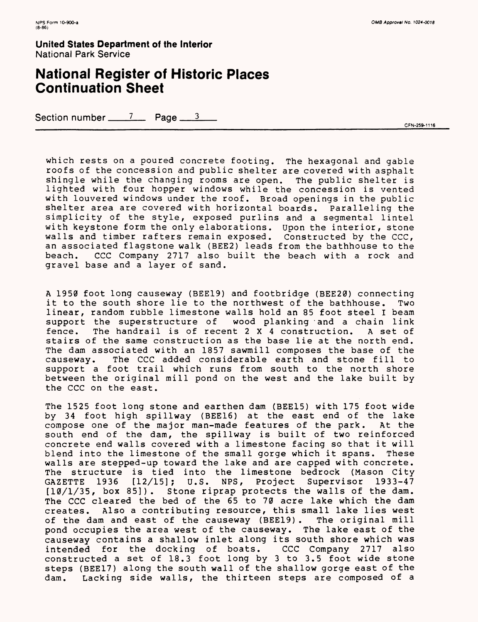## **National Register of Historic Places Continuation Sheet**

Section number  $\frac{7}{2}$  Page  $\frac{3}{2}$ 

CFN-259-1116

which rests on a poured concrete footing. The hexagonal and gable roofs of the concession and public shelter are covered with asphalt shingle while the changing rooms are open. The public shelter is lighted with four hopper windows while the concession is vented with louvered windows under the roof. Broad openings in the public shelter area are covered with horizontal boards. Paralleling the simplicity of the style, exposed purlins and a segmental lintel with keystone form the only elaborations. Upon the interior, stone walls and timber rafters remain exposed. Constructed by the CCC, an associated flagstone walk (BEE2) leads from the bathhouse to the beach. CCC Company 2717 also built the beach with a rock and gravel base and a layer of sand.

A 1950 foot long causeway (BEE19) and footbridge (BEE20) connecting it to the south shore lie to the northwest of the bathhouse. Two linear, random rubble limestone walls hold an 85 foot steel I beam support the superstructure of wood planking and a chain link fence. The handrail is of recent 2X4 construction. A set of stairs of the same construction as the base lie at the north end. The dam associated with an 1857 sawmill composes the base of the causeway. The CCC added considerable earth and stone fill to support a foot trail which runs from south to the north shore between the original mill pond on the west and the lake built by the CCC on the east.

The 1525 foot long stone and earthen dam (BEE15) with 175 foot wide by 34 foot high spillway (BEE16) at the east end of the lake<br>compose one of the major man-made features of the park. At the compose one of the major man-made features of the park. south end of the dam, the spillway is built of two reinforced concrete end walls covered with a limestone facing so that it will blend into the limestone of the small gorge which it spans. These walls are stepped-up toward the lake and are capped with concrete. The structure is tied into the limestone bedrock (Mason City<br>GAZETTE 1936 [12/15]; U.S. NPS, Project Supervisor 1933-47 GAZETTE 1936 [12/15]; U.S. NPS, Project Supervisor 1933-47 [10/1/35, box 85]). Stone riprap protects the walls of the dam. The CCC cleared the bed of the 65 to 70 acre lake which the dam creates. Also a contributing resource, this small lake lies west of the dam and east of the causeway (BEE19) . The original mill pond occupies the area west of the causeway. The lake east of the causeway contains a shallow inlet along its south shore which was intended for the docking of boats. CCC Company 2717 also constructed a set of 18.3 foot long by 3 to 3.5 foot wide stone steps (BEE17) along the south wall of the shallow gorge east of the dam. Lacking side walls, the thirteen steps are composed of a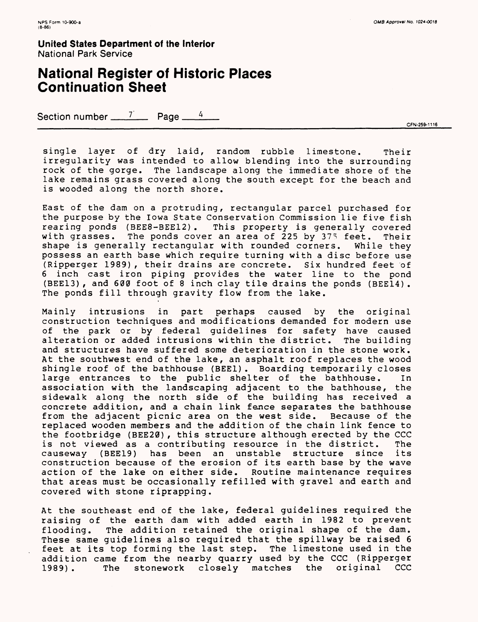## **National Register of Historic Places Continuation Sheet**

Section number  $\frac{7}{2}$  Page  $\frac{4}{4}$ 

\_\_\_\_\_\_\_\_\_\_\_\_\_\_\_\_\_\_\_\_\_\_\_\_\_\_\_\_\_\_\_\_\_\_\_\_\_\_\_\_\_\_\_\_\_\_\_\_\_\_\_\_\_\_\_\_\_\_\_\_\_\_\_\_\_\_\_\_\_\_\_\_\_\_\_\_\_\_\_\_\_\_\_\_\_\_\_\_\_\_\_\_\_\_\_ CFN-259-m6

single layer of dry laid, random rubble limestone. Their irregularity was intended to allow blending into the surrounding rock of the gorge. The landscape along the immediate shore of the lake remains grass covered along the south except for the beach and is wooded along the north shore.

East of the dam on a protruding, rectangular parcel purchased for the purpose by the Iowa State Conservation Commission lie five fish rearing ponds (BEE8-BEE12) . This property is generally covered with grasses. The ponds cover an area of 225 by 375 feet. Their shape is generally rectangular with rounded corners. While they possess an earth base which require turning with a disc before use (Ripperger 1989) , their drains are concrete. Six hundred feet of 6 inch cast iron piping provides the water line to the pond (BEE13) , and 600 foot of 8 inch clay tile drains the ponds (BEE14) . The ponds fill through gravity flow from the lake.

Mainly intrusions in part perhaps caused by the original construction techniques and modifications demanded for modern use of the park or by federal guidelines for safety have caused alteration or added intrusions within the district. The building and structures have suffered some deterioration in the stone work. At the southwest end of the lake, an asphalt roof replaces the wood shingle roof of the bathhouse (BEE1) . Boarding temporarily closes large entrances to the public shelter of the bathhouse. In association with the landscaping adjacent to the bathhouse, the sidewalk along the north side of the building has received a concrete addition, and a chain link fence separates the bathhouse from the adjacent picnic area on the west side. Because of the replaced wooden members and the addition of the chain link fence to the footbridge (BEE20), this structure although erected by the CCC is not viewed as a contributing resource in the district. The causeway (BEE19) has been an unstable structure since its construction because of the erosion of its earth base by the wave action of the lake on either side. Routine maintenance requires that areas must be occasionally refilled with gravel and earth and covered with stone riprapping.

At the southeast end of the lake, federal guidelines required the raising of the earth dam with added earth in 1982 to prevent flooding. The addition retained the original shape of the dam. These same guidelines also required that the spillway be raised 6 feet at its top forming the last step. The limestone used in the addition came from the nearby quarry used by the CCC (Ripperger 1989) . The stonework closely matches the original CCC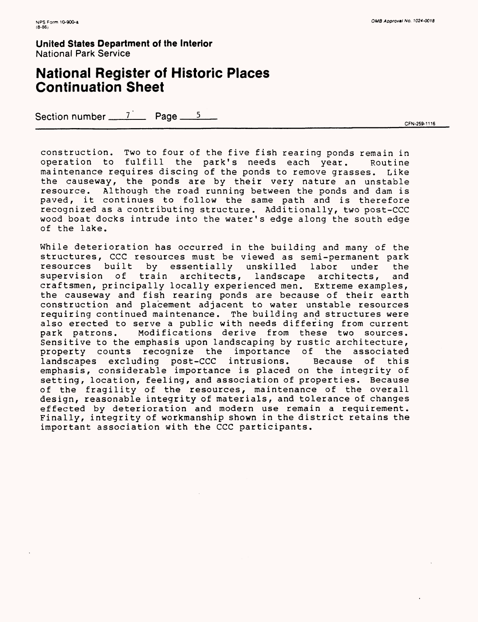## **National Register of Historic Places Continuation Sheet**

Section number  $\frac{7}{2}$  Page  $\frac{5}{2}$ 

CFN-259-1116

construction. Two to four of the five fish rearing ponds remain in operation to fulfill the park's needs each year. Routine maintenance requires discing of the ponds to remove grasses. Like the causeway, the ponds are by their very nature an unstable resource. Although the road running between the ponds and dam is paved, it continues to follow the same path and is therefore recognized as a contributing structure. Additionally, two post-CCC wood boat docks intrude into the water's edge along the south edge of the lake.

While deterioration has occurred in the building and many of the structures, CCC resources must be viewed as semi-permanent park resources built by essentially unskilled labor under the supervision of train architects, landscape architects, and craftsmen, principally locally experienced men. Extreme examples, the causeway and fish rearing ponds are because of their earth construction and placement adjacent to water unstable resources requiring continued maintenance. The building and structures were also erected to serve a public with needs differing from current<br>park patrons. Modifications derive from these two sources. Modifications derive from these two sources. Sensitive to the emphasis upon landscaping by rustic architecture, property counts recognize the importance of the associated landscapes excluding post-CCC intrusions. Because of this emphasis, considerable importance is placed on the integrity of setting, location, feeling, and association of properties. Because of the fragility of the resources, maintenance of the overall design, reasonable integrity of materials, and tolerance of changes effected by deterioration and modern use remain a requirement. Finally, integrity of workmanship shown in the district retains the important association with the CCC participants.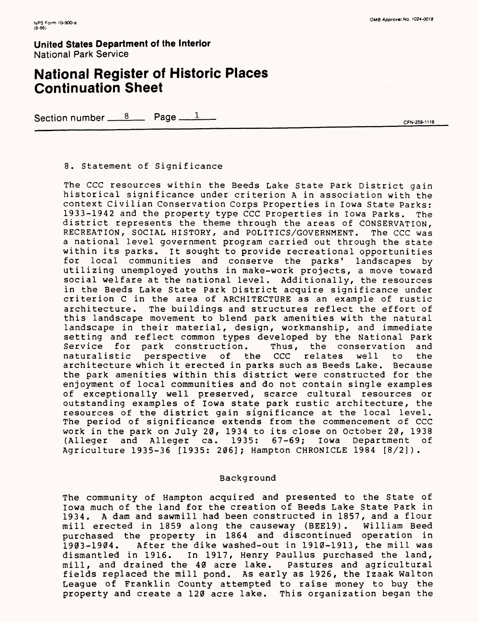## **National Register of Historic Places Continuation Sheet**

Section number  $\frac{8}{2}$  Page  $\frac{1}{2}$ 

CFN-259-1116

#### 8. Statement of Significance

The CCC resources within the Seeds Lake State Park District gain historical significance under criterion A in association with the context Civilian Conservation Corps Properties in Iowa State Parks: 1933-1942 and the property type CCC Properties in Iowa Parks. The district represents the theme through the areas of CONSERVATION, RECREATION, SOCIAL HISTORY, and POLITICS/GOVERNMENT. The CCC was a national level government program carried out through the state within its parks. It sought to provide recreational opportunities for local communities and conserve the parks' landscapes by utilizing unemployed youths in make-work projects, a move toward social welfare at the national level. Additionally, the resources in the Beeds Lake State Park District acquire significance under criterion C in the area of ARCHITECTURE as an example of rustic architecture. The buildings and structures reflect the effort of this landscape movement to blend park amenities with the natural landscape in their material, design, workmanship, and immediate setting and reflect common types developed by the National Park<br>Service for park construction. Thus, the conservation and Thus, the conservation and naturalistic perspective of the CCC relates well to the architecture which it erected in parks such as Beeds Lake. Because the park amenities within this district were constructed for the enjoyment of local communities and do not contain single examples of exceptionally well preserved, scarce cultural resources or outstanding examples of Iowa state park rustic architecture, the resources of the district gain significance at the local level. The period of significance extends from the commencement of CCC work in the park on July 20, 1934 to its close on October 20, 1938<br>(Alleger and Alleger ca. 1935: 67-69; Iowa Department of and Alleger ca. 1935: 67-69; Agriculture 1935-36 [1935: 206]; Hampton CHRONICLE 1984 [8/2]).

#### Background

The community of Hampton acquired and presented to the State of Iowa much of the land for the creation of Beeds Lake State Park in 1934. A dam and sawmill had been constructed in 1857, and a flour mill erected in 1859 along the causeway (BEE19) . William Beed purchased the property in 1864 and discontinued operation in 1903-1904. After the dike washed-out in 1910-1913, the mill was dismantled in 1916. In 1917, Henry Paullus purchased the land, In 1917, Henry Paullus purchased the land, mill, and drained the 40 acre lake. Pastures and agricultural fields replaced the mill pond. As early as 1926, the Izaak Walton League of Franklin County attempted to raise money to buy the property and create a 120 acre lake. This organization began the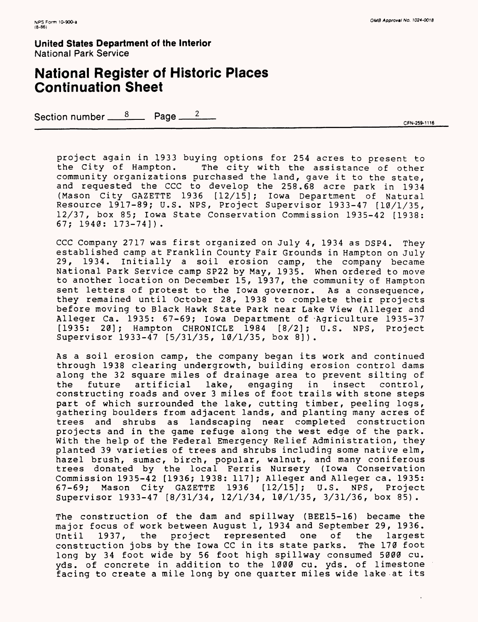## **National Register of Historic Places Continuation Sheet**

Section number  $\frac{8}{2}$  Page  $\frac{2}{2}$ 

project again in 1933 buying options for 254 acres to present to The city with the assistance of other community organizations purchased the land, gave it to the state, and requested the CCC to develop the 258.68 acre park in 1934 (Mason City GAZETTE 1936 [12/15]; Iowa Department of Natural Resource 1917-89; U.S. NPS, Project Supervisor 1933-47 [10/1/35, 12/37, box 85; Iowa State Conservation Commission 1935-42 [1938: 67; 1940: 173-74] ) .

CCC Company 2717 was first organized on July 4, 1934 as DSP4. They established camp at Franklin County Fair Grounds in Hampton on July 29, 1934. Initially a soil erosion camp, the company became National Park Service camp SP22 by May, 1935. When ordered to move to another location on December 15, 1937, the community of Hampton sent letters of protest to the Iowa governor. As a consequence, they remained until October 28, 1938 to complete their projects before moving to Black Hawk State Park near Lake View (Alleger and Alleger Ca. 1935: 67-69; Iowa Department of -Agriculture 1935-37 [1935: 20]; Hampton CHRONICLE 1984 [8/2]; U.S. NPS, Project Supervisor 1933-47 [5/31/35, 10/1/35, box 8]).

As a soil erosion camp, the company began its work and continued through 1938 clearing undergrowth, building erosion control dams along the 32 square miles of drainage area to prevent silting of<br>the future artificial lake, engaging in insect control, the future artificial lake, engaging in insect control, constructing roads and over 3 miles of foot trails with stone steps part of which surrounded the lake, cutting timber, peeling logs, gathering boulders from adjacent lands, and planting many acres of trees and shrubs as landscaping near completed construction projects and in the game refuge along the west edge of the park. With the help of the Federal Emergency Relief Administration, they planted 39 varieties of trees and shrubs including some native elm, hazel brush, sumac, birch, popular, walnut, and many coniferous trees donated by the local Ferris Nursery (Iowa Conservation Commission 1935-42 [1936; 1938: 117]; Alleger and Alleger ca. 1935: 67-69; Mason City GAZETTE 1936 [12/15]; U.S. NPS, Project Supervisor 1933-47 [8/31/34, 12/1/34, 10/1/35, 3/31/36, box 85).

The construction of the dam and spillway (BEE15-16) became the major focus of work between August 1, 1934 and September 29, 1936. Until 1937, the project represented one of the largest construction jobs by the Iowa CC in its state parks. The 170 foot long by 34 foot wide by 56 foot high spillway consumed 5000 cu. yds. of concrete in addition to the 1000 cu. yds. of limestone facing to create a mile long by one quarter miles wide lake at its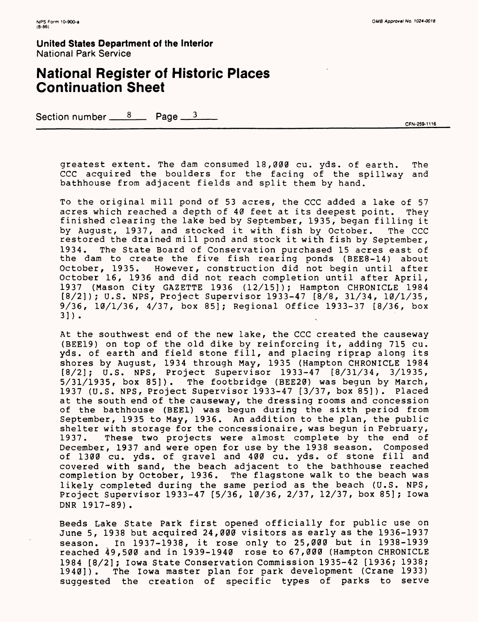## **National Register of Historic Places Continuation Sheet**

Section number  $\frac{8}{2}$  Page  $\frac{3}{2}$ 

CFN-259-1116

greatest extent. The dam consumed 18,000 cu. yds. of earth. The CCC acquired the boulders for the facing of the spillway and bathhouse from adjacent fields and split them by hand.

To the original mill pond of 53 acres, the CCC added a lake of 57 acres which reached a depth of 40 feet at its deepest point. They finished clearing the lake bed by September, 1935, began filling it by August, 1937, and stocked it with fish by October. The CCC restored the drained mill pond and stock it with fish by September, 1934. The State Board of Conservation purchased 15 acres east of the dam to create the five fish rearing ponds (BEE8-14) about October, 1935. However, construction did not begin until after October 16, 1936 and did not reach completion until after April, 1937 (Mason City GAZETTE 1936 (12/15]); Hampton CHRONICLE 1984 [8/2]); U.S. NFS, Project Supervisor 1933-47 [8/8, 31/34, 10/1/35, 9/36, 10/1/36, 4/37, box 85]; Regional Office 1933-37 [8/36, box 31).

At the southwest end of the new lake, the CCC created the causeway (BEE19) on top of the old dike by reinforcing it, adding 715 cu. yds. of earth and field stone fill, and placing riprap along its shores by August, 1934 through May, 1935 (Hampton CHRONICLE 1984 [8/2]; U.S. NFS, Project Supervisor 1933-47 [8/31/34, 3/1935, 5/31/1935, box 85]). The footbridge (BEE20) was begun by March, 1937 (U.S. NFS, Project Supervisor 1933-47 [3/37, box 85]). Placed at the south end of the causeway, the dressing rooms and concession of the bathhouse (BEE1) was begun during the sixth period from September, 1935 to May, 1936. An addition to the plan, the public shelter with storage for the concessionaire, was begun in February, 1937. These two projects were almost complete by the end of December, 1937 and were open for use by the 1938 season. Composed of 1300 cu. yds. of gravel and 400 cu. yds. of stone fill and covered with sand, the beach adjacent to the bathhouse reached completion by October, 1936. The flagstone walk to the beach was likely completed during the same period as the beach (U.S. NPS, Project Supervisor 1933-47 [5/36, 10/36, 2/37, 12/37, box 85]; Iowa DNR 1917-89).

Beeds Lake State Park first opened officially for public use on June 5, 1938 but acquired 24,000 visitors as early as the 1936-1937 season. In 1937-1938, it rose only to 25,000 but in 1938-1939 reached 49,500 and in 1939-1940 rose to 67,000 (Hampton CHRONICLE 1984 [8/2]; Iowa State Conservation Commission 1935-42 [1936; 1938; 1940]). The Iowa master plan for park development (Crane 1933) suggested the creation of specific types of parks to serve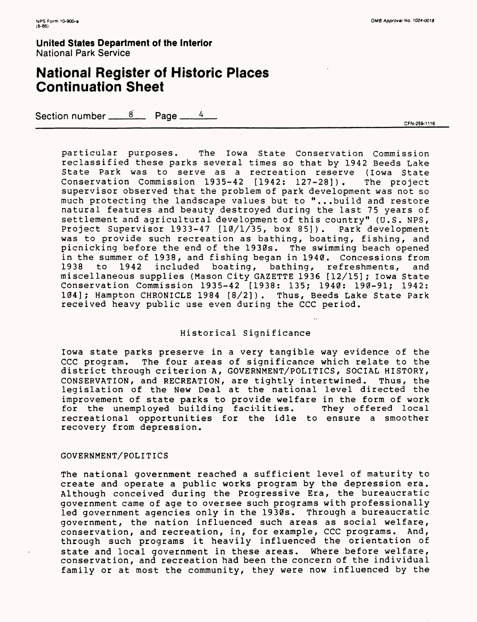## **National Register of Historic Places Continuation Sheet**

Section number  $\frac{8}{2}$  Page  $\frac{4}{2}$ 

CFN-259-1116

particular purposes. The Iowa State Conservation Commission reclassified these parks several times so that by 1942 Beeds Lake State Park was to serve as a recreation reserve (Iowa State Conservation Commission 1935-42 [1942: 127-28]). The project supervisor observed that the problem of park development was not so much protecting the landscape values but to "...build and restore natural features and beauty destroyed during the last 75 years of settlement and agricultural development of this country" (U.S. NPS, Project Supervisor 1933-47 [10/1/35, box 85]). Park development was to provide such recreation as bathing, boating, fishing, and picnicking before the end of the 1930s. The swimming beach opened in the summer of 1938, and fishing began in 1940. Concessions from 1938 to 1942 included boating, bathing, refreshments, and miscellaneous supplies (Mason City GAZETTE 1936 [12/15] ; Iowa State Conservation Commission 1935-42 [1938: 135; 1940: 190-91; 1942: 104]; Hampton CHRONICLE 1984 [8/2]). Thus, Beeds Lake State Park received heavy public use even during the CCC period.

#### Historical Significance

Iowa state parks preserve in a very tangible way evidence of the CCC program. The four areas of significance which relate to the district through criterion A, GOVERNMENT/POLITICS, SOCIAL HISTORY, CONSERVATION, and RECREATION, are tightly intertwined. Thus, the legislation of the New Deal at the national level directed the improvement of state parks to provide welfare in the form of work for the unemployed building facilities. They offered local recreational opportunities for the idle to ensure a smoother recovery from depression.

#### GOVERNMENT/POLITICS

The national government reached a sufficient level of maturity to create and operate a public works program by the depression era. Although conceived during the Progressive Era, the bureaucratic government came of age to oversee such programs with professionally led government agencies only in the 1930s. Through a bureaucratic government, the nation influenced such areas as social welfare, conservation, and recreation, in, for example, CCC programs. And, through such programs it heavily influenced the orientation of state and local government in these areas. Where before welfare, conservation, and recreation had been the concern of the individual family or at most the community, they were now influenced by the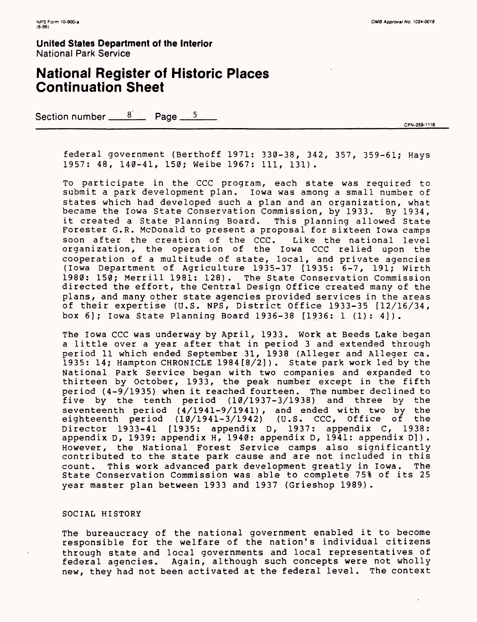## **National Register of Historic Places Continuation Sheet**

Section number  $\frac{8}{2}$  Page  $\frac{5}{2}$ 

CFN-259-1116

federal government (Berthoff 1971: 330-38, 342, 357, 359-61; Hays 1957: 48, 140-41, 150; Weibe 1967: 111, 131).

To participate in the CCC program, each state was required to submit a park development plan. Iowa was among a small number of states which had developed such a plan and an organization, what became the Iowa State Conservation Commission, by 1933. By 1934, it created a State Planning Board. This planning allowed State Forester G.R. McDonald to present a proposal for sixteen Iowa camps soon after the creation of the CCC. Like the national level organization, the operation of the Iowa CCC relied upon the cooperation of a multitude of state, local, and private agencies (Iowa Department of Agriculture 1935-37 [1935: 6-7, 191; Wirth 1980: 150; Merrill 1981: 128). The State Conservation Commission directed the effort, the Central Design Office created many of the plans, and many other state agencies provided services in the areas of their expertise (U.S. NPS, District Office 1933-35 [12/16/34, box 6]; Iowa State Planning Board 1936-38 [1936: 1 (1): 4]).

The Iowa CCC was underway by April, 1933. Work at Seeds Lake began a little over a year after that in period 3 and extended through period 11 which ended September 31, 1938 (Alleger and Alleger ca. 1935: 14; Hampton CHRONICLE 1984 [8/2]). State park work led by the National Park Service began with two companies and expanded to thirteen by October, 1933, the peak number except in the fifth period (4-9/1935) when it reached fourteen. The number declined to five by the tenth period (10/1937-3/1938) and three by the seventeenth period (4/1941-9/1941) , and ended with two by the eighteenth period (10/1941-3/1942) (U.S. CCC, Office of the Director 1933-41 [1935: appendix D, 1937: appendix C, 1938: appendix D, 1939: appendix H, 1940: appendix D, 1941: appendix D] ) . However, the National Forest Service camps also significantly contributed to the state park cause and are not included in this count. This work advanced park development greatly in Iowa. The State Conservation Commission was able to complete 75% of its 25 year master plan between 1933 and 1937 (Grieshop 1989).

#### SOCIAL HISTORY

The bureaucracy of the national government enabled it to become responsible for the welfare of the nation's individual citizens through state and local governments and local representatives of federal agencies. Again, although such concepts were not wholly new, they had not been activated at the federal level. The context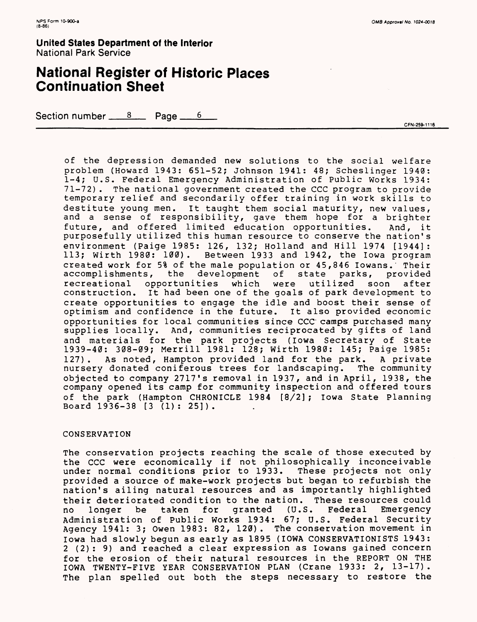## **National Register of Historic Places Continuation Sheet**

Section number  $8 \times 8$  Page  $6 \times 6$ 

CFN-259-1116

of the depression demanded new solutions to the social welfare problem (Howard 1943: 651-52; Johnson 1941: 48; Scheslinger 1940: 1-4; U.S. Federal Emergency Administration of Public Works 1934: 71-72) . The national government created the CCC program to provide temporary relief and secondarily offer training in work skills to destitute young men. It taught them social maturity, new values, and a sense of responsibility, gave them hope for a brighter future, and offered limited education opportunities. And, it purposefully utilized this human resource to conserve the nation's environment (Paige 1985: 126, 132; Holland and Hill 1974 [1944]: 113; wirth 1980: 100) . Between 1933 and 1942, the Iowa program created work for 5% of the male population or 45,846 Iowans. Their<br>accomplishments, the development of state parks, provided accomplishments, the development of state parks, provided recreational opportunities which were utilized soon after construction. It had been one of the goals of park development to create opportunities to engage the idle and boost their sense of optimism and confidence in the future. It also provided economic opportunities for local communities since CCC' camps purchased many supplies locally. And, communities reciprocated by gifts of land and materials for the park projects (Iowa Secretary of State 1939-40: 308-09; Merrill 1981: 128; Wirth 1980: 145; Paige 1985: 127). As noted, Hampton provided land for the park. A private nursery donated coniferous trees for landscaping. The community objected to company 2717's removal in 1937, and in April, 1938, the company opened its camp for community inspection and offered tours of the park (Hampton CHRONICLE 1984 [8/2] ; Iowa State Planning Board 1936-38 [3 (1) : 25] ) .

#### CONSERVATION

The conservation projects reaching the scale of those executed by the CCC were economically if not philosophically inconceivable under normal conditions prior to 1933. These projects not only provided a source of make-work projects but began to refurbish the nation's ailing natural resources and as importantly highlighted their deteriorated condition to the nation. These resources could<br>no longer be taken for granted (U.S. Federal Emergency no longer be taken for granted (U.S. Federal Emergency Administration of Public Works 1934: 67; U.S. Federal Security Agency 1941: 3; Owen 1983: 82, 120). The conservation movement in Iowa had slowly begun as early as 1895 (IOWA CONSERVATIONISTS 1943: 2 (2): 9) and reached a clear expression as lowans gained concern for the erosion of their natural resources in the REPORT ON THE IOWA TWENTY-FIVE YEAR CONSERVATION PLAN (Crane 1933: 2, 13-17). The plan spelled out both the steps necessary to restore the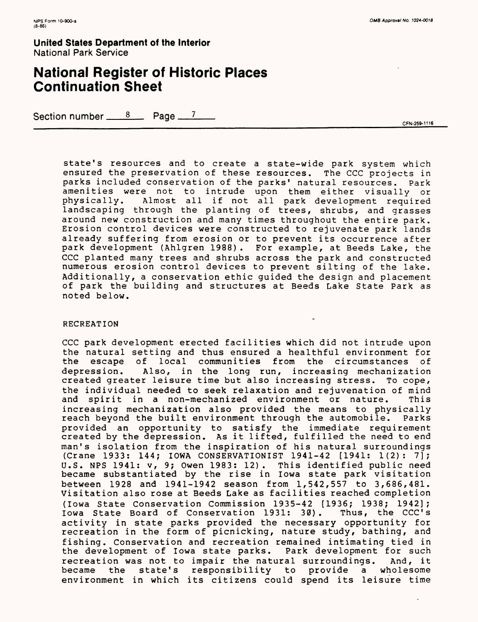## **National Register of Historic Places Continuation Sheet**

Section number  $\frac{8}{2}$  Page  $\frac{7}{2}$ 

CFN-259-1116

state's resources and to create a state-wide park system which ensured the preservation of these resources. The CCC projects in parks included conservation of the parks' natural resources. Park amenities were not to intrude upon them either visually or physically. Almost all if not all park development required landscaping through the planting of trees, shrubs, and grasses around new construction and many times throughout the entire park. Erosion control devices were constructed to rejuvenate park lands already suffering from erosion or to prevent its occurrence after park development (Ahlgren 1988). For example, at Deeds Lake, the CCC planted many trees and shrubs across the park and constructed numerous erosion control devices to prevent silting of the lake. Additionally, a conservation ethic guided the design and placement of park the building and structures at Seeds Lake State Park as noted below.

#### RECREATION

CCC park development erected facilities which did not intrude upon the natural setting and thus ensured a healthful environment for the escape of local communities from the circumstances of depression. Also, in the long run, increasing mechanization created greater leisure time but also increasing stress. To cope, the individual needed to seek relaxation and rejuvenation of mind<br>and spirit in a non-mechanized environment or nature. This and spirit in a non-mechanized environment or nature. increasing mechanization also provided the means to physically reach beyond the built environment through the automobile. Parks provided an opportunity to satisfy the immediate requirement created by the depression. As it lifted, fulfilled the need to end man's isolation from the inspiration of his natural surroundings (Crane 1933: 144; IOWA CONSERVATIONIST 1941-42 [1941: 1(2): 7]; U.S. NPS 1941: v, 9; Owen 1983: 12). This identified public need became substantiated by the rise in Iowa state park visitation between 1928 and 1941-1942 season from 1,542,557 to 3,686,481. Visitation also rose at Beeds Lake as facilities reached completion (Iowa State Conservation Commission 1935-42 [1936; 1938; 1942]; Iowa State Board of Conservation 1931: 30). Thus, the CCC's activity in state parks provided the necessary opportunity for recreation in the form of picnicking, nature study, bathing, and fishing. Conservation and recreation remained intimating tied in the development of Iowa state parks. Park development for such recreation was not to impair the natural surroundings. And, it became the state's responsibility to provide a wholesome environment in which its citizens could spend its leisure time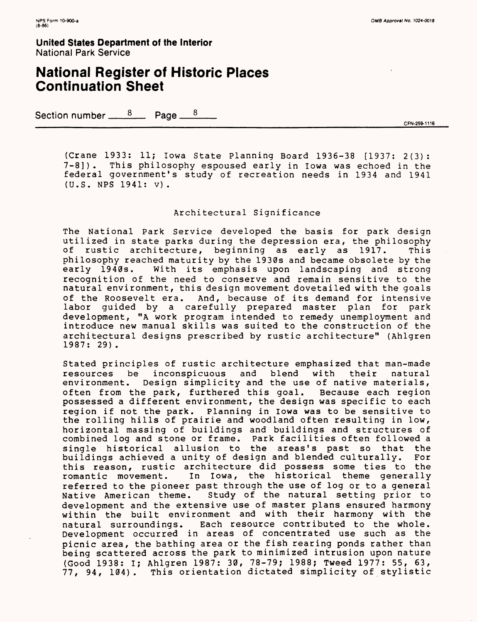## **National Register of Historic Places Continuation Sheet**

Section number  $\frac{8}{2}$  Page  $\frac{8}{2}$ 

CFN-259-1116

(Crane 1933: 11; Iowa State Planning Board 1936-38 [1937: 2(3): 7-8]). This philosophy espoused early in Iowa was echoed in the federal government's study of recreation needs in 1934 and 1941 (U.S. NPS 1941: v) .

#### Architectural Significance

The National Park Service developed the basis for park design utilized in state parks during the depression era, the philosophy of rustic architecture, beginning as early as 1917. This philosophy reached maturity by the 1930s and became obsolete by the early 1940s. With its emphasis upon landscaping and strong With its emphasis upon landscaping and strong recognition of the need to conserve and remain sensitive to the natural environment, this design movement dovetailed with the goals of the Roosevelt era. And, because of its demand for intensive labor guided by a carefully prepared master plan for park development, "A work program intended to remedy unemployment and introduce new manual skills was suited to the construction of the architectural designs prescribed by rustic architecture" (Ahlgren 1987: 29).

Stated principles of rustic architecture emphasized that man-made resources be inconspicuous and blend with their natural environment. Design simplicity and the use of native materials, often from the park, furthered this goal. Because each region possessed a different environment, the design was specific to each region if not the park. Planning in Iowa was to be sensitive to the rolling hills of prairie and woodland often resulting in low, horizontal massing of buildings and buildings and structures of combined log and stone or frame. Park facilities often followed a single historical allusion to the areas's past so that the buildings achieved a unity of design and blended culturally. For this reason, rustic architecture did possess some ties to the romantic movement. In Iowa, the historical theme generally referred to the pioneer past through the use of log or to a general Native American theme. Study of the natural setting prior to development and the extensive use of master plans ensured harmony within the built environment and with their harmony with the natural surroundings. Each resource contributed to the whole. Development occurred in areas of concentrated use such as the picnic area, the bathing area or the fish rearing ponds rather than being scattered across the park to minimized intrusion upon nature (Good 1938: I; Ahlgren 1987: 30, 78-79; 1988; Tweed 1977: 55, 63, 77, 94, 104). This orientation dictated simplicity of stylistic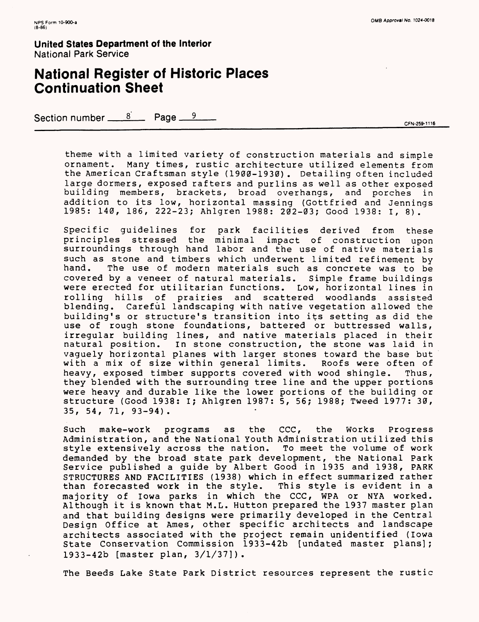## **National Register of Historic Places Continuation Sheet**

Section number  $\frac{8}{2}$  Page  $\frac{9}{2}$ 

theme with a limited variety of construction materials and simple ornament. Many times, rustic architecture utilized elements from the American Craftsman style (1900-1930). Detailing often included large dormers, exposed rafters and purlins as well as other exposed building members, brackets, broad overhangs, and porches in addition to its low, horizontal massing (Gottfried and Jennings 1985: 140, 186, 222-23; Ahlgren 1988: 202-03; Good 1938: I, 8).

Specific guidelines for park facilities derived from these principles stressed the minimal impact of construction upon surroundings through hand labor and the use of native materials such as stone and timbers which underwent limited refinement by<br>hand. The use of modern materials such as concrete was to be The use of modern materials such as concrete was to be covered by a veneer of natural materials. Simple frame buildings were erected for utilitarian functions. Low, horizontal lines in rolling hills of prairies and scattered woodlands assisted blending. Careful landscaping with native vegetation allowed the building's or structure's transition into its setting as did the use of rough stone foundations, battered or buttressed walls, irregular building lines, and native materials placed in their natural position. In stone construction, the stone was laid in vaguely horizontal planes with larger stones toward the base but with a mix of size within general limits. Roofs were often of heavy, exposed timber supports covered with wood shingle. Thus, they blended with the surrounding tree line and the upper portions were heavy and durable like the lower portions of the building or structure (Good 1938: I; Ahlgren 1987: 5, 56; 1988; Tweed 1977: 30, 35, 54, 71, 93-94).

Such make-work programs as the CCC, the Works Progress Administration, and the National Youth Administration utilized this style extensively across the nation. To meet the volume of work demanded by the broad state park development, the National Park Service published a guide by Albert Good in 1935 and 1938, PARK STRUCTURES AND FACILITIES (1938) which in effect summarized rather than forecasted work in the style. This style is evident in a majority of Iowa parks in which the CCC, WPA or NYA worked. Although it is known that M.L. Hutton prepared the 1937 master plan and that building designs were primarily developed in the Central Design Office at Ames, other specific architects and landscape architects associated with the project remain unidentified (Iowa State Conservation Commission 1933-42b [undated master plans]; 1933-42b [master plan, 3/1/37]).

The Deeds Lake State Park District resources represent the rustic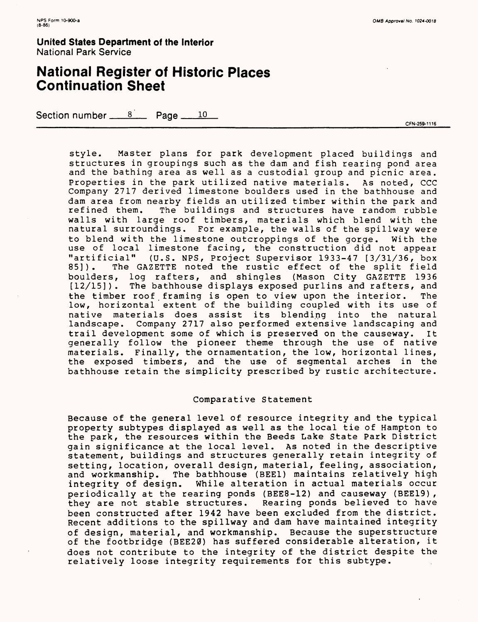## **National Register of Historic Places Continuation Sheet**

Section number  $\frac{8}{2}$  Page  $\frac{10}{2}$ 

CFN-259-1116

style. Master plans for park development placed buildings and structures in groupings such as the dam and fish rearing pond area and the bathing area as well as a custodial group and picnic area. Properties in the park utilized native materials. As noted, CCC Company 2717 derived limestone boulders used in the bathhouse and dam area from nearby fields an utilized timber within the park and<br>refined them. The buildings and structures have random rubble The buildings and structures have random rubble walls with large roof timbers, materials which blend with the natural surroundings. For example, the walls of the spillway were to blend with the limestone outcroppings of the gorge. With the use of local limestone facing, the construction did not appear "artificial" (U.S. NPS, Project Supervisor 1933-47 [3/31/36, box The GAZETTE noted the rustic effect of the split field boulders, log rafters, and shingles (Mason City GAZETTE 1936 [12/15]). The bathhouse displays exposed purlins and rafters, and the timber roof framing is open to view upon the interior. The low, horizontal extent of the building coupled with its use of native materials does assist its blending into the natural landscape. Company 2717 also performed extensive landscaping and trail development some of which is preserved on the causeway. It generally follow the pioneer theme through the use of native materials. Finally, the ornamentation, the low, horizontal lines, the exposed timbers, and the use of segmental arches in the bathhouse retain the simplicity prescribed by rustic architecture.

#### Comparative Statement

Because of the general level of resource integrity and the typical property subtypes displayed as well as the local tie of Hampton to the park, the resources within the Seeds Lake State Park District gain significance at the local level. As noted in the descriptive statement, buildings and structures generally retain integrity of setting, location, overall design, material, feeling, association, and workmanship. The bathhouse (BEE1) maintains relatively high integrity of design. While alteration in actual materials occur periodically at the rearing ponds (BEE8-12) and causeway (BEE19), they are not stable structures. Rearing ponds believed to have been constructed after 1942 have been excluded from the district. Recent additions to the spillway and dam have maintained integrity of design, material, and workmanship. Because the superstructure of the footbridge (BEE20) has suffered considerable alteration, it does not contribute to the integrity of the district despite the relatively loose integrity requirements for this subtype.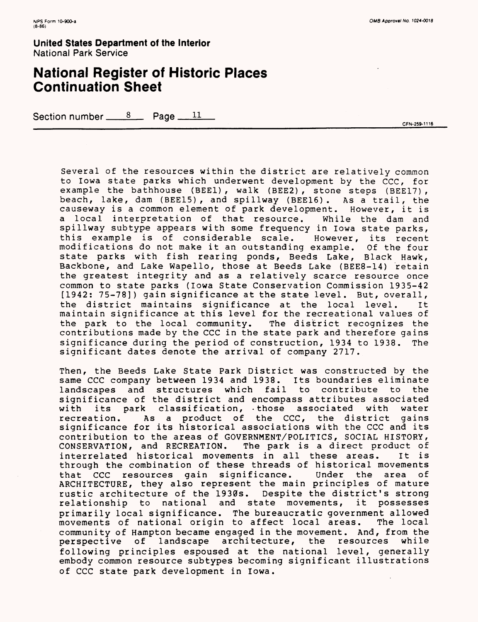## **National Register of Historic Places Continuation Sheet**

Section number  $\frac{8}{2}$  Page  $\frac{11}{2}$ 

CFN-259-1116

Several of the resources within the district are relatively common to Iowa state parks which underwent development by the CCC, for example the bathhouse (BEEl) , walk (BEE2) , stone steps (BEE17) , beach, lake, dam (BEE15), and spillway (BEE16). As a trail, the causeway is a common element of park development. However, it is a local interpretation of that resource. While the dam and spillway subtype appears with some frequency in Iowa state parks, this example is of considerable scale. However, its recent modifications do not make it an outstanding example. Of the four state parks with fish rearing ponds, Beeds Lake, Black Hawk, Backbone, and Lake Wapello, those at Beeds Lake (BEE8-14) retain the greatest integrity and as a relatively scarce resource once common to state parks (Iowa State Conservation Commission 1935-42 [1942: 75-78]) gain significance at the state level. But, overall, the district maintains significance at the local level. It maintain significance at this level for the recreational values of the park to the local community. The district recognizes the contributions made by the CCC in the state park and therefore gains significance during the period of construction, 1934 to 1938. The significant dates denote the arrival of company 2717.

Then, the Beeds Lake State Park District was constructed by the same CCC company between 1934 and 1938. Its boundaries eliminate landscapes and structures which fail to contribute to the significance of the district and encompass attributes associated with its park classification, -those associated with water recreation. As a product of the CCC, the district gains significance for its historical associations with the CCC and its contribution to the areas of GOVERNMENT/POLITICS, SOCIAL HISTORY, CONSERVATION, and RECREATION. The park is a direct product of interrelated historical movements in all these areas. It is through the combination of these threads of historical movements that CCC resources gain significance. Under the area of ARCHITECTURE, they also represent the main principles of mature rustic architecture of the 1930s. Despite the district's strong relationship to national and state movements, it possesses primarily local significance. The bureaucratic government allowed movements of national origin to affect local areas. community of Hampton became engaged in the movement. And, from the perspective of landscape architecture, the resources while following principles espoused at the national level, generally embody common resource subtypes becoming significant illustrations of CCC state park development in Iowa.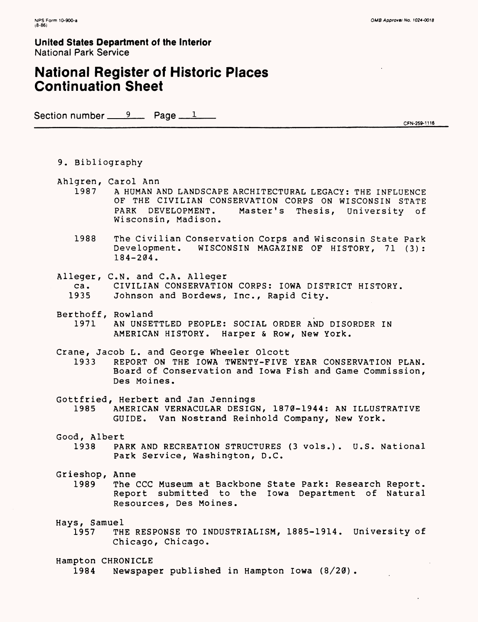## **National Register of Historic Places Continuation Sheet**

Section number <u>9</u> Page 1

CFN-259-1116

- 9. Bibliography
- Ahlgren, Carol Ann
	- 1987 A HUMAN AND LANDSCAPE ARCHITECTURAL LEGACY: THE INFLUENCE OF THE CIVILIAN CONSERVATION CORPS ON WISCONSIN STATE PARK DEVELOPMENT. Master's Thesis, University of Wisconsin, Madison.
	- 1988 The Civilian Conservation Corps and Wisconsin State Park Development. WISCONSIN MAGAZINE OF HISTORY, 71 (3): 184-204.
- Alleger, C.N. and C.A. Alleger
	- ca. CIVILIAN CONSERVATION CORPS: IOWA DISTRICT HISTORY.
	- 1935 Johnson and Bordews, Inc., Rapid City.
- Berthoff, Rowland<br>1971 AN UNSE
	- AN UNSETTLED PEOPLE: SOCIAL ORDER AND DISORDER IN AMERICAN HISTORY. Harper & Row, New York.
- Crane, Jacob L. and George Wheeler Olcott
	- 1933 REPORT ON THE IOWA TWENTY-FIVE YEAR CONSERVATION PLAN. Board of Conservation and Iowa Fish and Game Commission, Des Moines.
- Gottfried, Herbert and Jan Jennings
- 1985 AMERICAN VERNACULAR DESIGN, 1870-1944: AN ILLUSTRATIVE GUIDE. Van Nostrand Reinhold Company, New York.
- Good, Albert
	- 1938 PARK AND RECREATION STRUCTURES (3 vols.). U.S. National Park Service, Washington, D.C.
- Grieshop, Anne
	- 1989 The CCC Museum at Backbone State Park: Research Report. Report submitted to the Iowa Department of Natural Resources, Des Moines.

Hays, Samuel

THE RESPONSE TO INDUSTRIALISM, 1885-1914. University of Chicago, Chicago.

Hampton CHRONICLE

1984 Newspaper published in Hampton Iowa (8/20).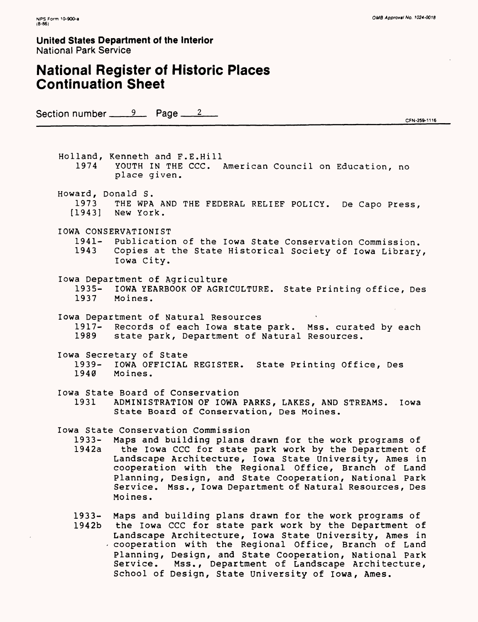## **National Register of Historic Places Continuation Sheet**

Section number  $\frac{9}{2}$  Page  $\frac{2}{2}$ 

CFN-259-1116

Holland, Kenneth and F.E.Hill YOUTH IN THE CCC. American Council on Education, no place given. Howard, Donald S. 1973 THE WPA AND THE FEDERAL RELIEF POLICY. De Capo Press, [1943] New York. IOWA CONSERVATIONIST<br>1941- Publication 1941- Publication of the Iowa State Conservation Commission.<br>1943 - Copies at the State Historical Society of Iowa Library Copies at the State Historical Society of Iowa Library, Iowa City. Iowa Department of Agriculture 1935- IOWA YEARBOOK OF AGRICULTURE. State Printing office, Des<br>1937 Moines. Moines. Iowa Department of Natural Resources 1917- Records of each Iowa state park. Mss. curated by each<br>1989 State park. Department of Natural Resources. state park, Department of Natural Resources. Iowa Secretary of State 1939- IOWA OFFICIAL REGISTER. State Printing Office, Des<br>1940 Moines. Moines. Iowa State Board of Conservation 1931 ADMINISTRATION OF IOWA PARKS, LAKES, AND STREAMS. Iowa State Board of Conservation, Des Moines. Iowa State Conservation Commission 1933- Maps and building plans drawn for the work programs of 1942a the Iowa CCC for state park work by the Department of Landscape Architecture, Iowa State University, Ames in cooperation with the Regional Office, Branch of Land Planning, Design, and State Cooperation, National Park Service. Mss., Iowa Department of Natural Resources, Des Moines. 1933- Maps and building plans drawn for the work programs of 1942b the Iowa CCC for state park work by the Department of Landscape Architecture, Iowa State University, Ames in - cooperation with the Regional Office, Branch of Land Planning, Design, and State Cooperation, National Park Service. Mss., Department of Landscape Architecture,

School of Design, State University of Iowa, Ames.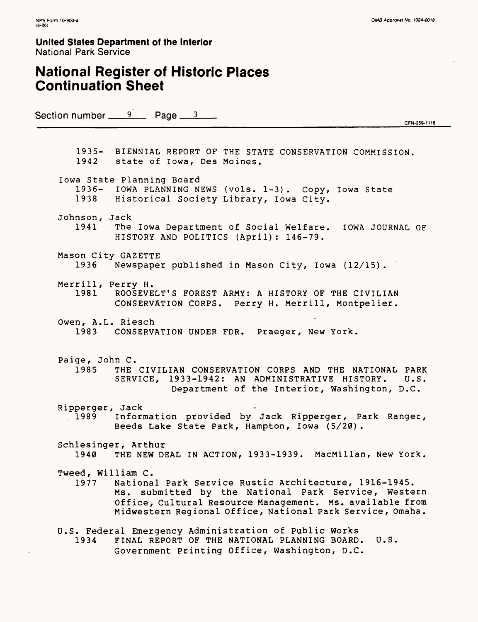## **National Register of Historic Places Continuation Sheet**

Section number  $\frac{9}{2}$  Page  $\frac{3}{2}$ 

CFN-259-1116

1935- BIENNIAL REPORT OF THE STATE CONSERVATION COMMISSION. 1942 state of Iowa, Des Moines. Iowa State Planning Board 1936- IOWA PLANNING NEWS (vols. 1-3). Copy, Iowa State 1938 Historical Society Library, Iowa City. Johnson, Jack 1941 The Iowa Department of Social Welfare. IOWA JOURNAL OF HISTORY AND POLITICS (April): 146-79. Mason City GAZETTE 1936 Newspaper published in Mason City, Iowa (12/15). Merrill, Perry H.<br>1981 ROOSEVE ROOSEVELT'S FOREST ARMY: A HISTORY OF THE CIVILIAN CONSERVATION CORPS. Perry H. Merrill, Montpelier. Owen, A.L. Riesch 1983 CONSERVATION UNDER FOR. Praeger, New York. Paige, John C. 1985 THE CIVILIAN CONSERVATION CORPS AND THE NATIONAL PARK<br>SERVICE, 1933-1942: AN ADMINISTRATIVE HISTORY. U.S. SERVICE, 1933-1942: AN ADMINISTRATIVE HISTORY. Department of the Interior, Washington, D.C. Ripperger, Jack<br>1989 Inform Information provided by Jack Ripperger, Park Ranger, Beeds Lake State Park, Hampton, Iowa (5/20). Schlesinger, Arthur 1940 THE NEW DEAL IN ACTION, 1933-1939. MacMillan, New York. Tweed, William C. 1977 National Park Service Rustic Architecture, 1916-1945. Ms. submitted by the National Park Service, Western Office, Cultural Resource Management. Ms. available from Midwestern Regional Office, National Park Service, Omaha. U.S. Federal Emergency Administration of Public Works 1934 FINAL REPORT OF THE NATIONAL PLANNING BOARD. U.S. Government Printing Office, Washington, D.C.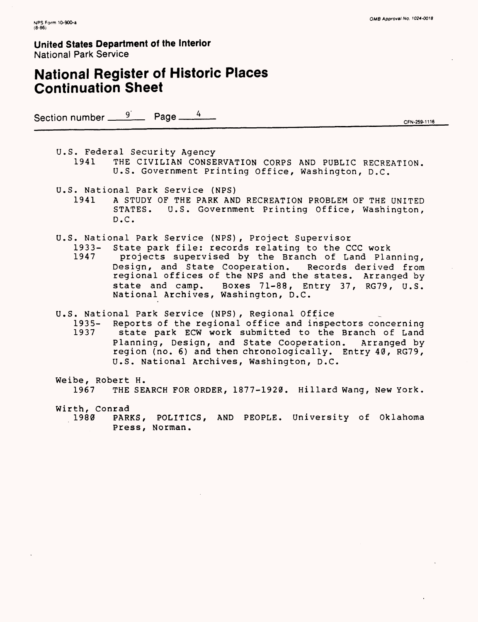## **National Register of Historic Places Continuation Sheet**

Section number  $\frac{9}{2}$  Page —

CFN-259-1116

U.S. Federal Security Agency 1941 THE CIVILIAN CONSERVATION CORPS AND PUBLIC RECREATION. U.S. Government Printing Office, Washington, D.C.

U.S. National Park Service (NPS)

1941 A STUDY OF THE PARK AND RECREATION PROBLEM OF THE UNITED STATES. U.S. Government Printing Office, Washington, D.C.

- U.S. National Park Service (NPS), Project Supervisor
	- 1933- State park file: records relating to the CCC work projects supervised by the Branch of Land Planning,
		- Design, and State Cooperation. Records derived from regional offices of the NPS and the states. Arranged by state and camp. Boxes 71-88, Entry 37, RG79, U.S. National Archives, Washington, D.C.
- U.S. National Park Service (NPS), Regional Office
	- 1935- Reports of the regional office and inspectors concerning<br>1937 state park ECW work submitted to the Branch of Land state park ECW work submitted to the Branch of Land Planning, Design, and State Cooperation. Arranged by region (no. 6) and then chronologically. Entry 40, RG79, U.S. National Archives, Washington, D.C.
- Weibe, Robert H. 1967 THE SEARCH FOR ORDER, 1877-1920. Hillard Wang, New York.
- Wirth, Conrad PARKS, POLITICS, AND PEOPLE. University of Oklahoma Press, Norman.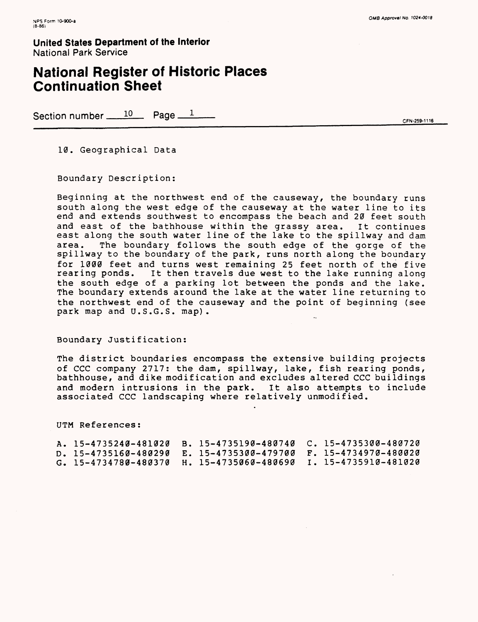## **National Register of Historic Places Continuation Sheet**

Section number  $\frac{10}{25}$  Page  $\frac{1}{25}$ 

10. Geographical Data

Boundary Description:

Beginning at the northwest end of the causeway, the boundary runs south along the west edge of the causeway at the water line to its end and extends southwest to encompass the beach and 20 feet south and east of the bathhouse within the grassy area. It continues east along the south water line of the lake to the spillway and dam area. The boundary follows the south edge of the gorge of the spillway to the boundary of the park, runs north along the boundary for 1000 feet and turns west remaining 25 feet north of the five rearing ponds. It then travels due west to the lake running along the south edge of a parking lot between the ponds and the lake. The boundary extends around the lake at the water line returning to the northwest end of the causeway and the point of beginning (see park map and U.S.G.S. map).

Boundary Justification:

The district boundaries encompass the extensive building projects of CCC company 2717: the dam, spillway, lake, fish rearing ponds, bathhouse, and dike modification and excludes altered CCC buildings and modern intrusions in the park. It also attempts to include associated CCC landscaping where relatively unmodified.

UTM References:

| A. 15-4735240-481020 B. 15-4735190-480740 C. 15-4735300-480720 |  |  |
|----------------------------------------------------------------|--|--|
| D. 15-4735160-480290 E. 15-4735300-479700 F. 15-4734970-480020 |  |  |
| G. 15-4734780-480370 H. 15-4735060-480690 I. 15-4735910-481020 |  |  |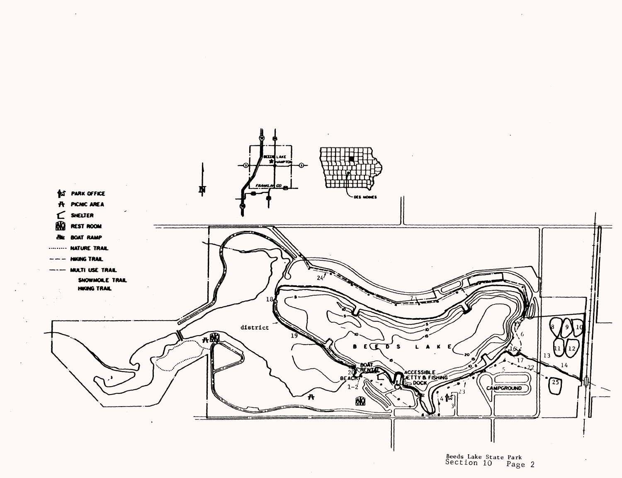

Beeds Lake State Park bection 10 Page 2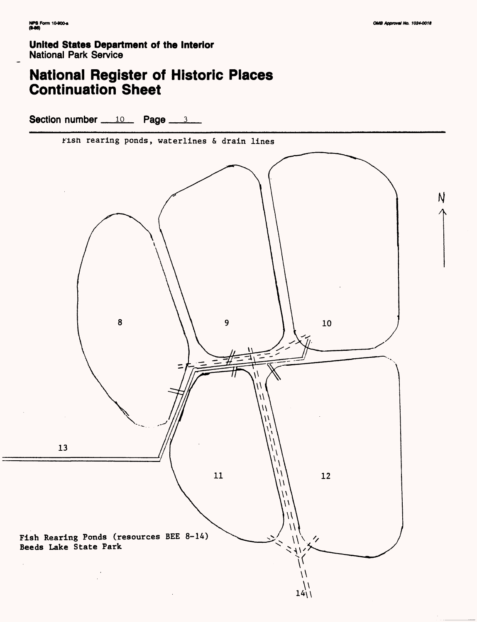# **National Register of Historic Places<br>Continuation Sheet**

Section number  $10$  Page  $3$ 

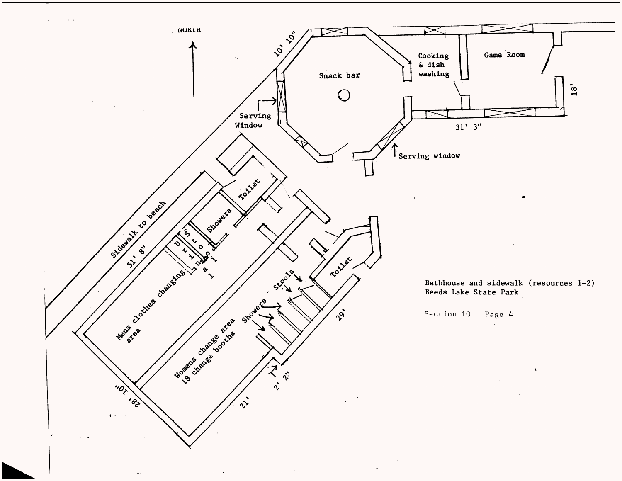